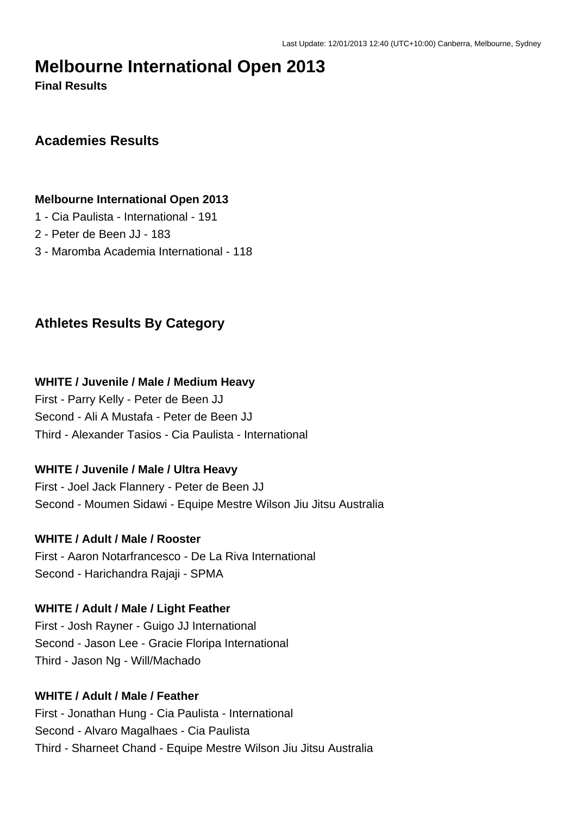# **Melbourne International Open 2013**

**Final Results**

## **Academies Results**

#### **Melbourne International Open 2013**

- 1 Cia Paulista International 191
- 2 Peter de Been JJ 183
- 3 Maromba Academia International 118

## **Athletes Results By Category**

#### **WHITE / Juvenile / Male / Medium Heavy**

First - Parry Kelly - Peter de Been JJ Second - Ali A Mustafa - Peter de Been JJ Third - Alexander Tasios - Cia Paulista - International

### **WHITE / Juvenile / Male / Ultra Heavy**

First - Joel Jack Flannery - Peter de Been JJ Second - Moumen Sidawi - Equipe Mestre Wilson Jiu Jitsu Australia

### **WHITE / Adult / Male / Rooster**

First - Aaron Notarfrancesco - De La Riva International Second - Harichandra Rajaji - SPMA

#### **WHITE / Adult / Male / Light Feather**

First - Josh Rayner - Guigo JJ International Second - Jason Lee - Gracie Floripa International Third - Jason Ng - Will/Machado

### **WHITE / Adult / Male / Feather**

First - Jonathan Hung - Cia Paulista - International Second - Alvaro Magalhaes - Cia Paulista Third - Sharneet Chand - Equipe Mestre Wilson Jiu Jitsu Australia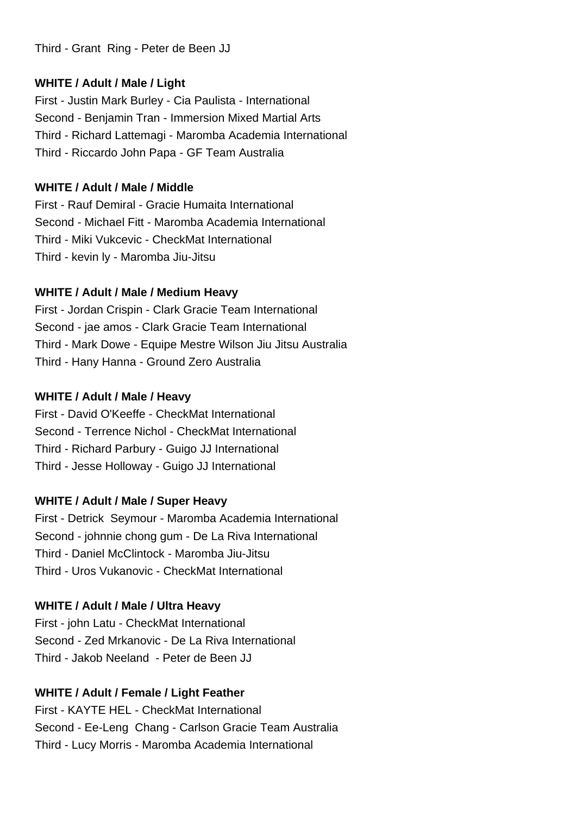Third - Grant Ring - Peter de Been JJ

### **WHITE / Adult / Male / Light**

First - Justin Mark Burley - Cia Paulista - International Second - Benjamin Tran - Immersion Mixed Martial Arts Third - Richard Lattemagi - Maromba Academia International Third - Riccardo John Papa - GF Team Australia

### **WHITE / Adult / Male / Middle**

First - Rauf Demiral - Gracie Humaita International Second - Michael Fitt - Maromba Academia International Third - Miki Vukcevic - CheckMat International Third - kevin ly - Maromba Jiu-Jitsu

## **WHITE / Adult / Male / Medium Heavy**

First - Jordan Crispin - Clark Gracie Team International Second - jae amos - Clark Gracie Team International Third - Mark Dowe - Equipe Mestre Wilson Jiu Jitsu Australia Third - Hany Hanna - Ground Zero Australia

### **WHITE / Adult / Male / Heavy**

First - David O'Keeffe - CheckMat International Second - Terrence Nichol - CheckMat International Third - Richard Parbury - Guigo JJ International Third - Jesse Holloway - Guigo JJ International

## **WHITE / Adult / Male / Super Heavy**

First - Detrick Seymour - Maromba Academia International Second - johnnie chong gum - De La Riva International Third - Daniel McClintock - Maromba Jiu-Jitsu Third - Uros Vukanovic - CheckMat International

## **WHITE / Adult / Male / Ultra Heavy**

First - john Latu - CheckMat International Second - Zed Mrkanovic - De La Riva International Third - Jakob Neeland - Peter de Been JJ

## **WHITE / Adult / Female / Light Feather**

First - KAYTE HEL - CheckMat International Second - Ee-Leng Chang - Carlson Gracie Team Australia Third - Lucy Morris - Maromba Academia International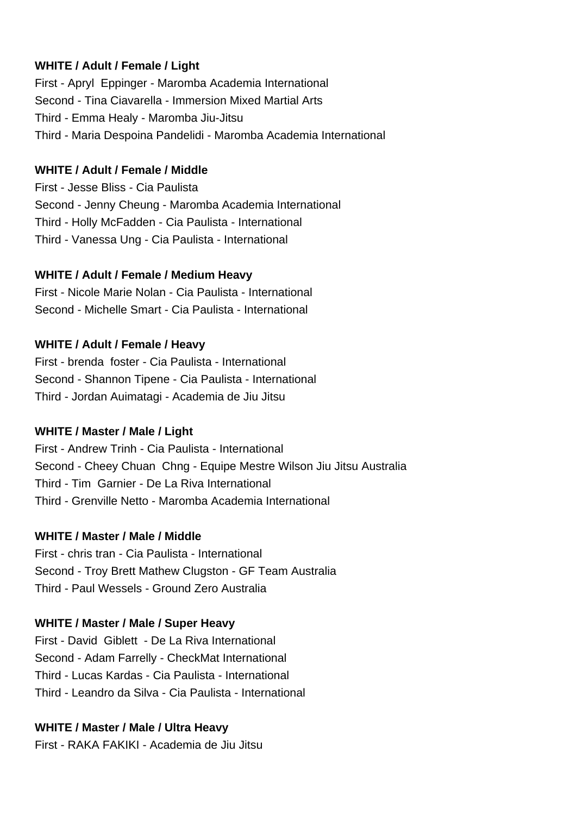### **WHITE / Adult / Female / Light**

First - Apryl Eppinger - Maromba Academia International Second - Tina Ciavarella - Immersion Mixed Martial Arts Third - Emma Healy - Maromba Jiu-Jitsu Third - Maria Despoina Pandelidi - Maromba Academia International

#### **WHITE / Adult / Female / Middle**

First - Jesse Bliss - Cia Paulista Second - Jenny Cheung - Maromba Academia International Third - Holly McFadden - Cia Paulista - International Third - Vanessa Ung - Cia Paulista - International

### **WHITE / Adult / Female / Medium Heavy**

First - Nicole Marie Nolan - Cia Paulista - International Second - Michelle Smart - Cia Paulista - International

### **WHITE / Adult / Female / Heavy**

First - brenda foster - Cia Paulista - International Second - Shannon Tipene - Cia Paulista - International Third - Jordan Auimatagi - Academia de Jiu Jitsu

### **WHITE / Master / Male / Light**

First - Andrew Trinh - Cia Paulista - International Second - Cheey Chuan Chng - Equipe Mestre Wilson Jiu Jitsu Australia Third - Tim Garnier - De La Riva International Third - Grenville Netto - Maromba Academia International

### **WHITE / Master / Male / Middle**

First - chris tran - Cia Paulista - International Second - Troy Brett Mathew Clugston - GF Team Australia Third - Paul Wessels - Ground Zero Australia

### **WHITE / Master / Male / Super Heavy**

First - David Giblett - De La Riva International Second - Adam Farrelly - CheckMat International Third - Lucas Kardas - Cia Paulista - International Third - Leandro da Silva - Cia Paulista - International

### **WHITE / Master / Male / Ultra Heavy**

First - RAKA FAKIKI - Academia de Jiu Jitsu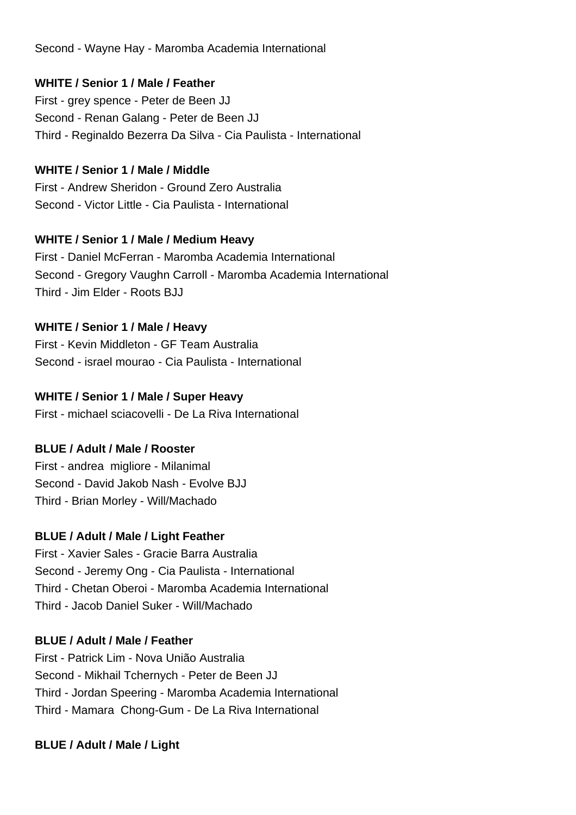Second - Wayne Hay - Maromba Academia International

### **WHITE / Senior 1 / Male / Feather**

First - grey spence - Peter de Been JJ Second - Renan Galang - Peter de Been JJ Third - Reginaldo Bezerra Da Silva - Cia Paulista - International

#### **WHITE / Senior 1 / Male / Middle**

First - Andrew Sheridon - Ground Zero Australia Second - Victor Little - Cia Paulista - International

#### **WHITE / Senior 1 / Male / Medium Heavy**

First - Daniel McFerran - Maromba Academia International Second - Gregory Vaughn Carroll - Maromba Academia International Third - Jim Elder - Roots BJJ

### **WHITE / Senior 1 / Male / Heavy**

First - Kevin Middleton - GF Team Australia Second - israel mourao - Cia Paulista - International

#### **WHITE / Senior 1 / Male / Super Heavy**

First - michael sciacovelli - De La Riva International

### **BLUE / Adult / Male / Rooster**

First - andrea migliore - Milanimal Second - David Jakob Nash - Evolve BJJ Third - Brian Morley - Will/Machado

#### **BLUE / Adult / Male / Light Feather**

First - Xavier Sales - Gracie Barra Australia Second - Jeremy Ong - Cia Paulista - International Third - Chetan Oberoi - Maromba Academia International Third - Jacob Daniel Suker - Will/Machado

#### **BLUE / Adult / Male / Feather**

First - Patrick Lim - Nova União Australia Second - Mikhail Tchernych - Peter de Been JJ Third - Jordan Speering - Maromba Academia International Third - Mamara Chong-Gum - De La Riva International

#### **BLUE / Adult / Male / Light**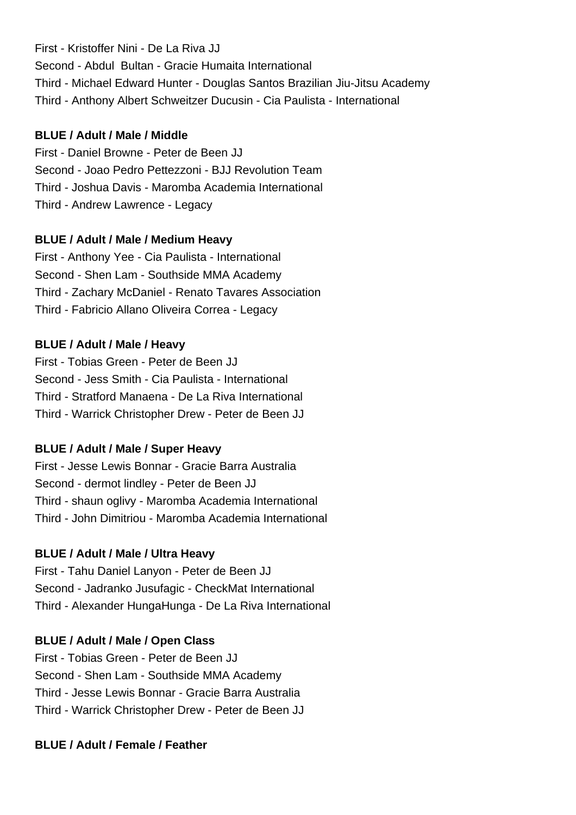First - Kristoffer Nini - De La Riva JJ Second - Abdul Bultan - Gracie Humaita International Third - Michael Edward Hunter - Douglas Santos Brazilian Jiu-Jitsu Academy Third - Anthony Albert Schweitzer Ducusin - Cia Paulista - International

#### **BLUE / Adult / Male / Middle**

First - Daniel Browne - Peter de Been JJ Second - Joao Pedro Pettezzoni - BJJ Revolution Team Third - Joshua Davis - Maromba Academia International Third - Andrew Lawrence - Legacy

### **BLUE / Adult / Male / Medium Heavy**

First - Anthony Yee - Cia Paulista - International Second - Shen Lam - Southside MMA Academy Third - Zachary McDaniel - Renato Tavares Association Third - Fabricio Allano Oliveira Correa - Legacy

### **BLUE / Adult / Male / Heavy**

First - Tobias Green - Peter de Been JJ Second - Jess Smith - Cia Paulista - International Third - Stratford Manaena - De La Riva International Third - Warrick Christopher Drew - Peter de Been JJ

## **BLUE / Adult / Male / Super Heavy**

First - Jesse Lewis Bonnar - Gracie Barra Australia Second - dermot lindley - Peter de Been JJ Third - shaun oglivy - Maromba Academia International Third - John Dimitriou - Maromba Academia International

## **BLUE / Adult / Male / Ultra Heavy**

First - Tahu Daniel Lanyon - Peter de Been JJ Second - Jadranko Jusufagic - CheckMat International Third - Alexander HungaHunga - De La Riva International

## **BLUE / Adult / Male / Open Class**

First - Tobias Green - Peter de Been JJ Second - Shen Lam - Southside MMA Academy Third - Jesse Lewis Bonnar - Gracie Barra Australia Third - Warrick Christopher Drew - Peter de Been JJ

## **BLUE / Adult / Female / Feather**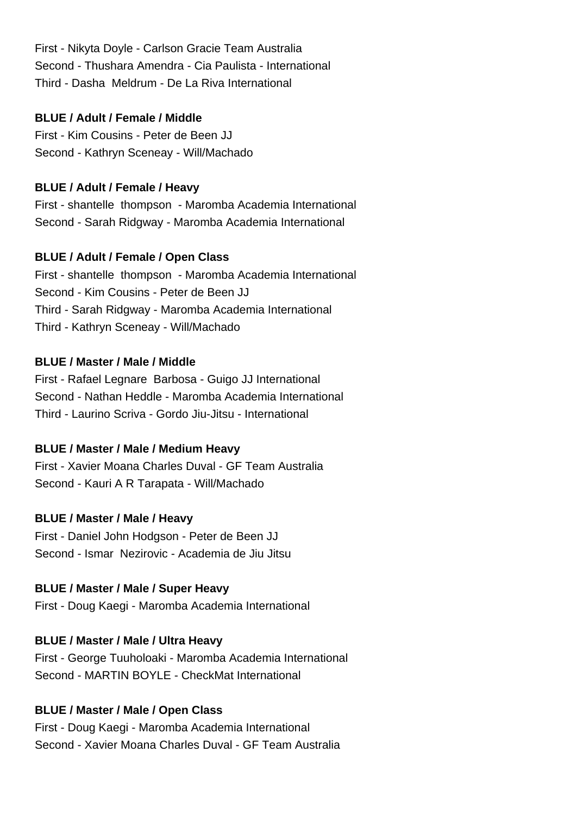First - Nikyta Doyle - Carlson Gracie Team Australia Second - Thushara Amendra - Cia Paulista - International Third - Dasha Meldrum - De La Riva International

#### **BLUE / Adult / Female / Middle**

First - Kim Cousins - Peter de Been JJ Second - Kathryn Sceneay - Will/Machado

### **BLUE / Adult / Female / Heavy**

First - shantelle thompson - Maromba Academia International Second - Sarah Ridgway - Maromba Academia International

### **BLUE / Adult / Female / Open Class**

First - shantelle thompson - Maromba Academia International Second - Kim Cousins - Peter de Been JJ Third - Sarah Ridgway - Maromba Academia International Third - Kathryn Sceneay - Will/Machado

### **BLUE / Master / Male / Middle**

First - Rafael Legnare Barbosa - Guigo JJ International Second - Nathan Heddle - Maromba Academia International Third - Laurino Scriva - Gordo Jiu-Jitsu - International

## **BLUE / Master / Male / Medium Heavy**

First - Xavier Moana Charles Duval - GF Team Australia Second - Kauri A R Tarapata - Will/Machado

## **BLUE / Master / Male / Heavy**

First - Daniel John Hodgson - Peter de Been JJ Second - Ismar Nezirovic - Academia de Jiu Jitsu

## **BLUE / Master / Male / Super Heavy**

First - Doug Kaegi - Maromba Academia International

## **BLUE / Master / Male / Ultra Heavy**

First - George Tuuholoaki - Maromba Academia International Second - MARTIN BOYLE - CheckMat International

## **BLUE / Master / Male / Open Class**

First - Doug Kaegi - Maromba Academia International Second - Xavier Moana Charles Duval - GF Team Australia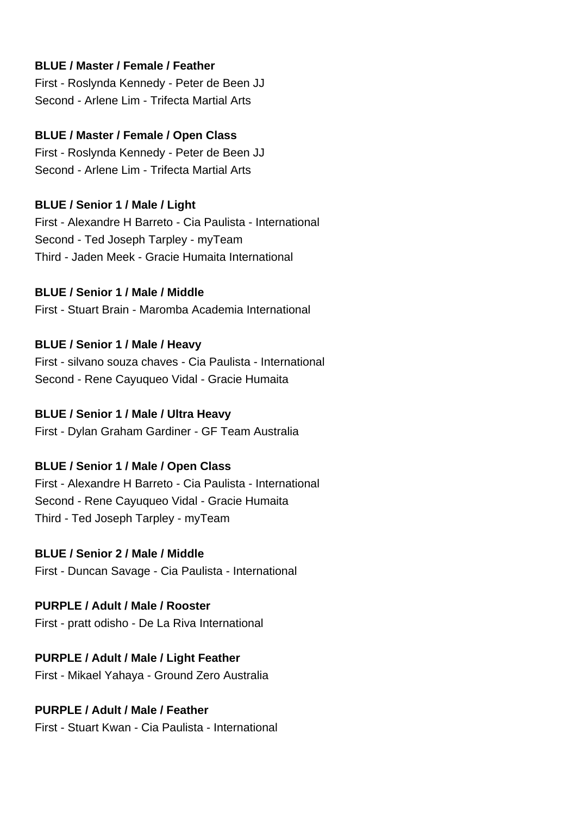#### **BLUE / Master / Female / Feather**

First - Roslynda Kennedy - Peter de Been JJ Second - Arlene Lim - Trifecta Martial Arts

#### **BLUE / Master / Female / Open Class**

First - Roslynda Kennedy - Peter de Been JJ Second - Arlene Lim - Trifecta Martial Arts

#### **BLUE / Senior 1 / Male / Light**

First - Alexandre H Barreto - Cia Paulista - International Second - Ted Joseph Tarpley - myTeam Third - Jaden Meek - Gracie Humaita International

#### **BLUE / Senior 1 / Male / Middle**

First - Stuart Brain - Maromba Academia International

#### **BLUE / Senior 1 / Male / Heavy**

First - silvano souza chaves - Cia Paulista - International Second - Rene Cayuqueo Vidal - Gracie Humaita

#### **BLUE / Senior 1 / Male / Ultra Heavy**

First - Dylan Graham Gardiner - GF Team Australia

### **BLUE / Senior 1 / Male / Open Class**

First - Alexandre H Barreto - Cia Paulista - International Second - Rene Cayuqueo Vidal - Gracie Humaita Third - Ted Joseph Tarpley - myTeam

#### **BLUE / Senior 2 / Male / Middle**

First - Duncan Savage - Cia Paulista - International

### **PURPLE / Adult / Male / Rooster**

First - pratt odisho - De La Riva International

### **PURPLE / Adult / Male / Light Feather**

First - Mikael Yahaya - Ground Zero Australia

#### **PURPLE / Adult / Male / Feather**

First - Stuart Kwan - Cia Paulista - International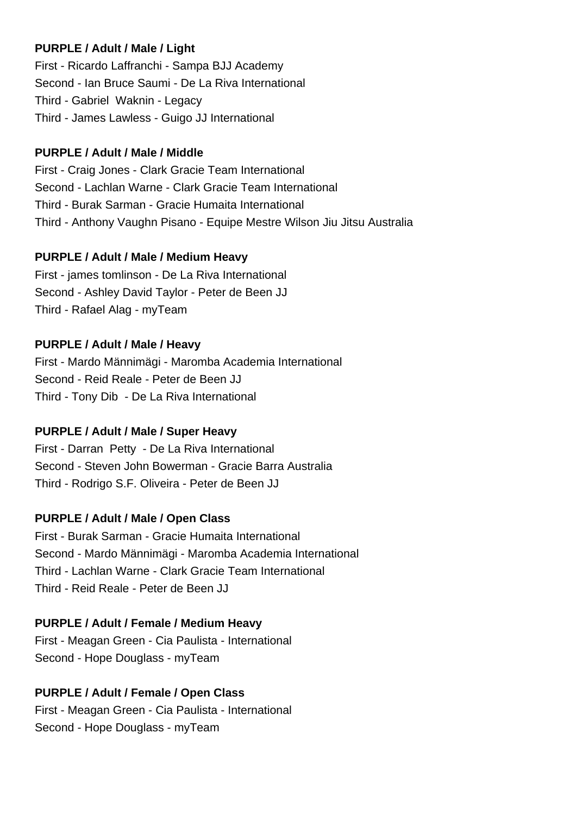#### **PURPLE / Adult / Male / Light**

First - Ricardo Laffranchi - Sampa BJJ Academy Second - Ian Bruce Saumi - De La Riva International Third - Gabriel Waknin - Legacy Third - James Lawless - Guigo JJ International

### **PURPLE / Adult / Male / Middle**

First - Craig Jones - Clark Gracie Team International Second - Lachlan Warne - Clark Gracie Team International Third - Burak Sarman - Gracie Humaita International Third - Anthony Vaughn Pisano - Equipe Mestre Wilson Jiu Jitsu Australia

### **PURPLE / Adult / Male / Medium Heavy**

First - james tomlinson - De La Riva International Second - Ashley David Taylor - Peter de Been JJ Third - Rafael Alag - myTeam

### **PURPLE / Adult / Male / Heavy**

First - Mardo Männimägi - Maromba Academia International Second - Reid Reale - Peter de Been JJ Third - Tony Dib - De La Riva International

### **PURPLE / Adult / Male / Super Heavy**

First - Darran Petty - De La Riva International Second - Steven John Bowerman - Gracie Barra Australia Third - Rodrigo S.F. Oliveira - Peter de Been JJ

### **PURPLE / Adult / Male / Open Class**

First - Burak Sarman - Gracie Humaita International Second - Mardo Männimägi - Maromba Academia International Third - Lachlan Warne - Clark Gracie Team International Third - Reid Reale - Peter de Been JJ

### **PURPLE / Adult / Female / Medium Heavy**

First - Meagan Green - Cia Paulista - International Second - Hope Douglass - myTeam

### **PURPLE / Adult / Female / Open Class**

First - Meagan Green - Cia Paulista - International Second - Hope Douglass - myTeam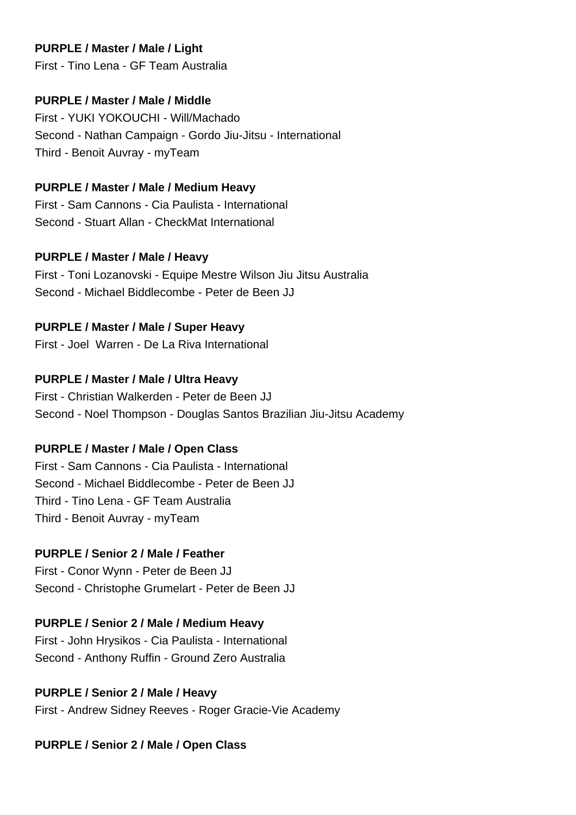### **PURPLE / Master / Male / Light**

First - Tino Lena - GF Team Australia

### **PURPLE / Master / Male / Middle**

First - YUKI YOKOUCHI - Will/Machado Second - Nathan Campaign - Gordo Jiu-Jitsu - International Third - Benoit Auvray - myTeam

#### **PURPLE / Master / Male / Medium Heavy**

First - Sam Cannons - Cia Paulista - International Second - Stuart Allan - CheckMat International

### **PURPLE / Master / Male / Heavy**

First - Toni Lozanovski - Equipe Mestre Wilson Jiu Jitsu Australia Second - Michael Biddlecombe - Peter de Been JJ

## **PURPLE / Master / Male / Super Heavy**

First - Joel Warren - De La Riva International

### **PURPLE / Master / Male / Ultra Heavy**

First - Christian Walkerden - Peter de Been JJ Second - Noel Thompson - Douglas Santos Brazilian Jiu-Jitsu Academy

## **PURPLE / Master / Male / Open Class**

First - Sam Cannons - Cia Paulista - International Second - Michael Biddlecombe - Peter de Been JJ Third - Tino Lena - GF Team Australia Third - Benoit Auvray - myTeam

### **PURPLE / Senior 2 / Male / Feather**

First - Conor Wynn - Peter de Been JJ Second - Christophe Grumelart - Peter de Been JJ

### **PURPLE / Senior 2 / Male / Medium Heavy**

First - John Hrysikos - Cia Paulista - International Second - Anthony Ruffin - Ground Zero Australia

## **PURPLE / Senior 2 / Male / Heavy**

First - Andrew Sidney Reeves - Roger Gracie-Vie Academy

### **PURPLE / Senior 2 / Male / Open Class**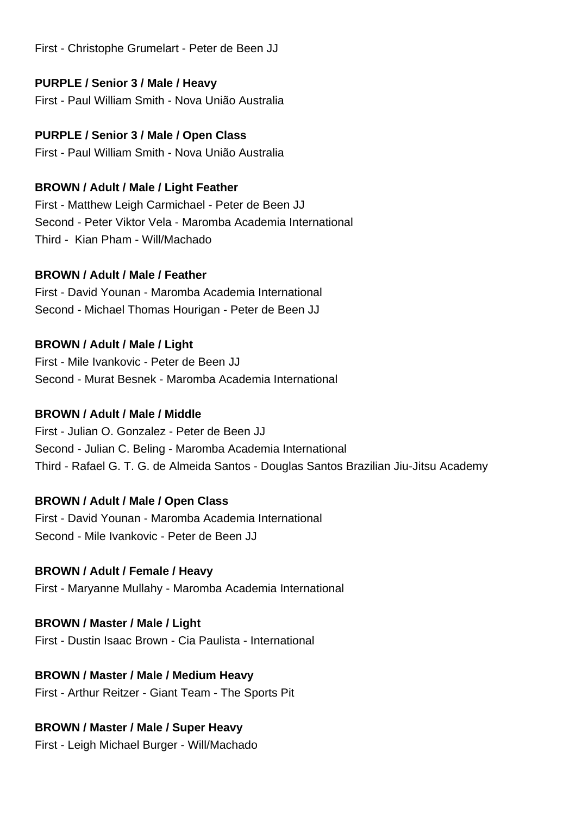First - Christophe Grumelart - Peter de Been JJ

### **PURPLE / Senior 3 / Male / Heavy**

First - Paul William Smith - Nova União Australia

### **PURPLE / Senior 3 / Male / Open Class**

First - Paul William Smith - Nova União Australia

### **BROWN / Adult / Male / Light Feather**

First - Matthew Leigh Carmichael - Peter de Been JJ Second - Peter Viktor Vela - Maromba Academia International Third - Kian Pham - Will/Machado

### **BROWN / Adult / Male / Feather**

First - David Younan - Maromba Academia International Second - Michael Thomas Hourigan - Peter de Been JJ

### **BROWN / Adult / Male / Light**

First - Mile Ivankovic - Peter de Been JJ Second - Murat Besnek - Maromba Academia International

### **BROWN / Adult / Male / Middle**

First - Julian O. Gonzalez - Peter de Been JJ Second - Julian C. Beling - Maromba Academia International Third - Rafael G. T. G. de Almeida Santos - Douglas Santos Brazilian Jiu-Jitsu Academy

## **BROWN / Adult / Male / Open Class**

First - David Younan - Maromba Academia International Second - Mile Ivankovic - Peter de Been JJ

### **BROWN / Adult / Female / Heavy**

First - Maryanne Mullahy - Maromba Academia International

### **BROWN / Master / Male / Light**

First - Dustin Isaac Brown - Cia Paulista - International

## **BROWN / Master / Male / Medium Heavy**

First - Arthur Reitzer - Giant Team - The Sports Pit

## **BROWN / Master / Male / Super Heavy**

First - Leigh Michael Burger - Will/Machado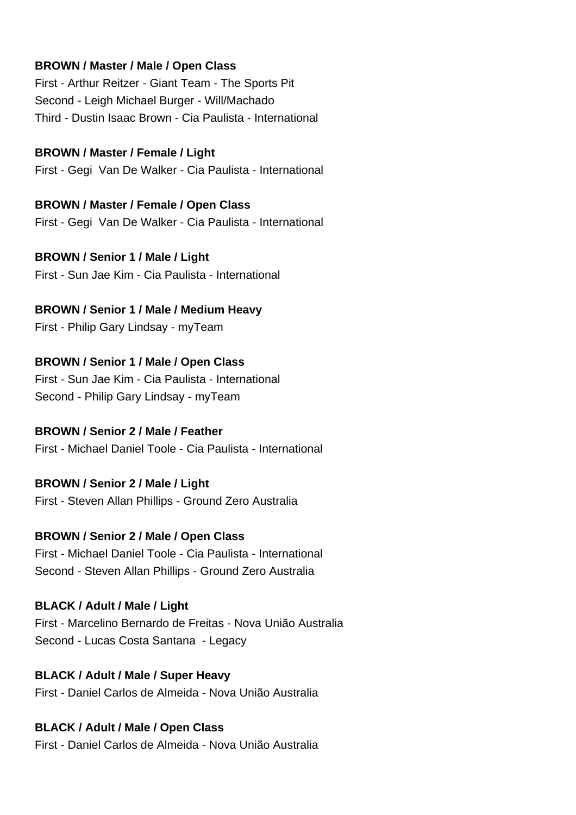#### **BROWN / Master / Male / Open Class**

First - Arthur Reitzer - Giant Team - The Sports Pit Second - Leigh Michael Burger - Will/Machado Third - Dustin Isaac Brown - Cia Paulista - International

#### **BROWN / Master / Female / Light**

First - Gegi Van De Walker - Cia Paulista - International

#### **BROWN / Master / Female / Open Class**

First - Gegi Van De Walker - Cia Paulista - International

**BROWN / Senior 1 / Male / Light** First - Sun Jae Kim - Cia Paulista - International

## **BROWN / Senior 1 / Male / Medium Heavy**

First - Philip Gary Lindsay - myTeam

# **BROWN / Senior 1 / Male / Open Class**

First - Sun Jae Kim - Cia Paulista - International Second - Philip Gary Lindsay - myTeam

#### **BROWN / Senior 2 / Male / Feather**

First - Michael Daniel Toole - Cia Paulista - International

#### **BROWN / Senior 2 / Male / Light**

First - Steven Allan Phillips - Ground Zero Australia

#### **BROWN / Senior 2 / Male / Open Class**

First - Michael Daniel Toole - Cia Paulista - International Second - Steven Allan Phillips - Ground Zero Australia

#### **BLACK / Adult / Male / Light**

First - Marcelino Bernardo de Freitas - Nova União Australia Second - Lucas Costa Santana - Legacy

#### **BLACK / Adult / Male / Super Heavy**

First - Daniel Carlos de Almeida - Nova União Australia

#### **BLACK / Adult / Male / Open Class**

First - Daniel Carlos de Almeida - Nova União Australia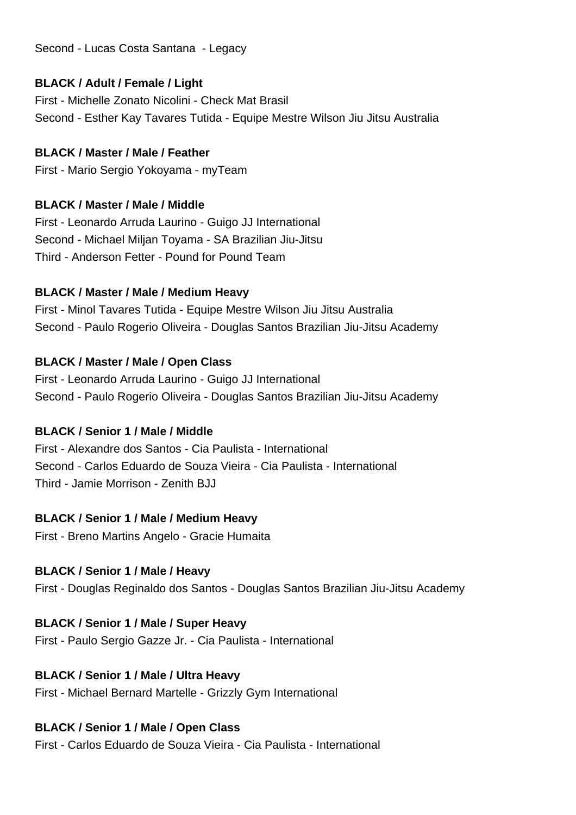Second - Lucas Costa Santana - Legacy

### **BLACK / Adult / Female / Light**

First - Michelle Zonato Nicolini - Check Mat Brasil Second - Esther Kay Tavares Tutida - Equipe Mestre Wilson Jiu Jitsu Australia

### **BLACK / Master / Male / Feather**

First - Mario Sergio Yokoyama - myTeam

### **BLACK / Master / Male / Middle**

First - Leonardo Arruda Laurino - Guigo JJ International Second - Michael Miljan Toyama - SA Brazilian Jiu-Jitsu Third - Anderson Fetter - Pound for Pound Team

### **BLACK / Master / Male / Medium Heavy**

First - Minol Tavares Tutida - Equipe Mestre Wilson Jiu Jitsu Australia Second - Paulo Rogerio Oliveira - Douglas Santos Brazilian Jiu-Jitsu Academy

## **BLACK / Master / Male / Open Class**

First - Leonardo Arruda Laurino - Guigo JJ International Second - Paulo Rogerio Oliveira - Douglas Santos Brazilian Jiu-Jitsu Academy

## **BLACK / Senior 1 / Male / Middle**

First - Alexandre dos Santos - Cia Paulista - International Second - Carlos Eduardo de Souza Vieira - Cia Paulista - International Third - Jamie Morrison - Zenith BJJ

## **BLACK / Senior 1 / Male / Medium Heavy**

First - Breno Martins Angelo - Gracie Humaita

## **BLACK / Senior 1 / Male / Heavy**

First - Douglas Reginaldo dos Santos - Douglas Santos Brazilian Jiu-Jitsu Academy

## **BLACK / Senior 1 / Male / Super Heavy**

First - Paulo Sergio Gazze Jr. - Cia Paulista - International

## **BLACK / Senior 1 / Male / Ultra Heavy**

First - Michael Bernard Martelle - Grizzly Gym International

## **BLACK / Senior 1 / Male / Open Class**

First - Carlos Eduardo de Souza Vieira - Cia Paulista - International